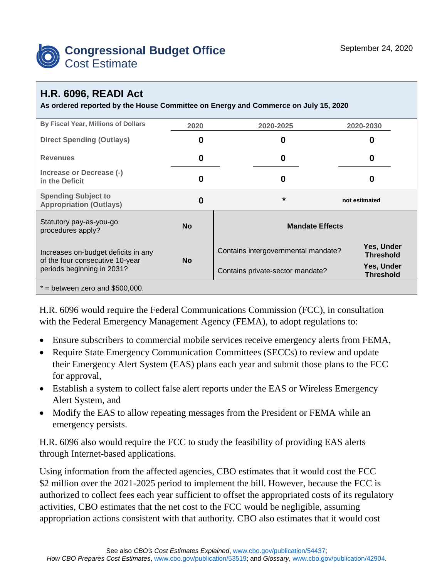

## **H.R. 6096, READI Act**

**As ordered reported by the House Committee on Energy and Commerce on July 15, 2020**

| By Fiscal Year, Millions of Dollars                                                                  | 2020      | 2020-2025                           | 2020-2030                      |
|------------------------------------------------------------------------------------------------------|-----------|-------------------------------------|--------------------------------|
| <b>Direct Spending (Outlays)</b>                                                                     | 0         | 0                                   | O                              |
| <b>Revenues</b>                                                                                      | 0         | 0                                   | 0                              |
| Increase or Decrease (-)<br>in the Deficit                                                           | 0         | 0                                   | 0                              |
| <b>Spending Subject to</b><br><b>Appropriation (Outlays)</b>                                         | 0         | $\star$                             | not estimated                  |
| Statutory pay-as-you-go<br>procedures apply?                                                         | <b>No</b> | <b>Mandate Effects</b>              |                                |
| Increases on-budget deficits in any<br>of the four consecutive 10-year<br>periods beginning in 2031? | <b>No</b> | Contains intergovernmental mandate? | Yes, Under<br><b>Threshold</b> |
|                                                                                                      |           | Contains private-sector mandate?    | Yes, Under<br><b>Threshold</b> |
| $*$ = between zero and \$500,000.                                                                    |           |                                     |                                |

H.R. 6096 would require the Federal Communications Commission (FCC), in consultation with the Federal Emergency Management Agency (FEMA), to adopt regulations to:

- Ensure subscribers to commercial mobile services receive emergency alerts from FEMA,
- Require State Emergency Communication Committees (SECCs) to review and update their Emergency Alert System (EAS) plans each year and submit those plans to the FCC for approval,
- Establish a system to collect false alert reports under the EAS or Wireless Emergency Alert System, and
- Modify the EAS to allow repeating messages from the President or FEMA while an emergency persists.

H.R. 6096 also would require the FCC to study the feasibility of providing EAS alerts through Internet-based applications.

Using information from the affected agencies, CBO estimates that it would cost the FCC \$2 million over the 2021-2025 period to implement the bill. However, because the FCC is authorized to collect fees each year sufficient to offset the appropriated costs of its regulatory activities, CBO estimates that the net cost to the FCC would be negligible, assuming appropriation actions consistent with that authority. CBO also estimates that it would cost